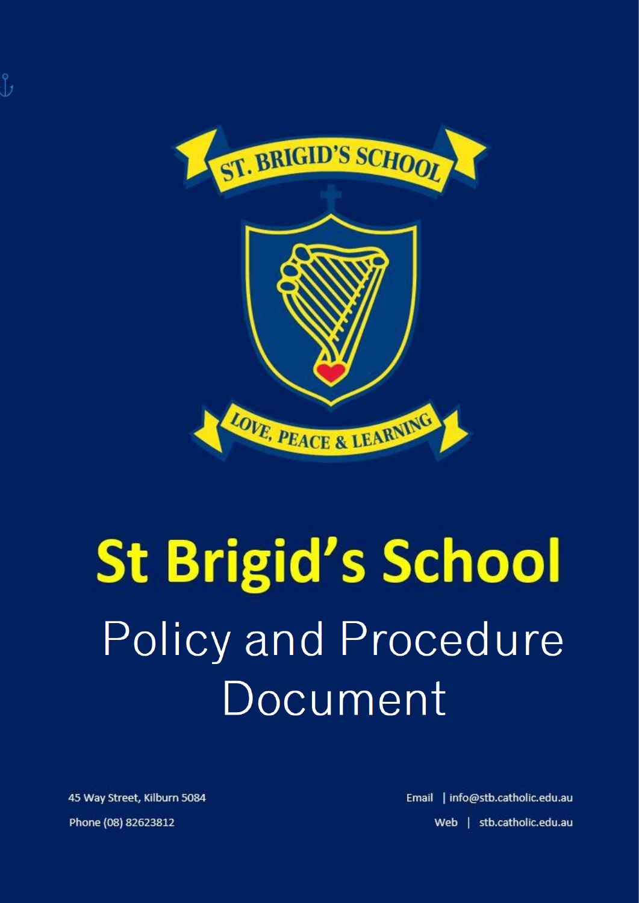

# **St Brigid's School** Policy and Procedure Document

45 Way Street, Kilburn 5084 Phone (08) 82623812

Email | info@stb.catholic.edu.au Web | stb.catholic.edu.au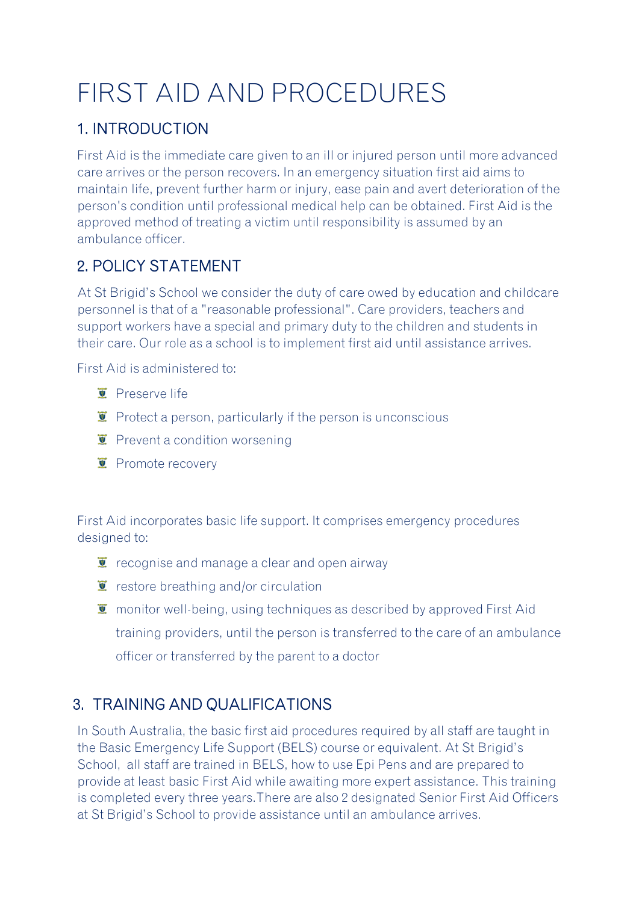# FIRST AID AND PROCEDURES

# 1. INTRODUCTION

First Aid is the immediate care given to an ill or injured person until more advanced care arrives or the person recovers. In an emergency situation first aid aims to maintain life, prevent further harm or injury, ease pain and avert deterioration of the person's condition until professional medical help can be obtained. First Aid is the approved method of treating a victim until responsibility is assumed by an ambulance officer.

# 2. POLICY STATEMENT

At St Brigid's School we consider the duty of care owed by education and childcare personnel is that of a "reasonable professional". Care providers, teachers and support workers have a special and primary duty to the children and students in their care. Our role as a school is to implement first aid until assistance arrives.

First Aid is administered to:

- **T** Preserve life
- $\bullet$  Protect a person, particularly if the person is unconscious
- $\bullet$  Prevent a condition worsening
- **E** Promote recovery

First Aid incorporates basic life support. It comprises emergency procedures designed to:

- $\ddot{\bullet}$  recognise and manage a clear and open airway
- $\ddot{z}$  restore breathing and/or circulation
- $\overline{\bullet}$  monitor well-being, using techniques as described by approved First Aid training providers, until the person is transferred to the care of an ambulance officer or transferred by the parent to a doctor

# 3. TRAINING AND QUALIFICATIONS

In South Australia, the basic first aid procedures required by all staff are taught in the Basic Emergency Life Support (BELS) course or equivalent. At St Brigid's School, all staff are trained in BELS, how to use Epi Pens and are prepared to provide at least basic First Aid while awaiting more expert assistance. This training is completed every three years.There are also 2 designated Senior First Aid Officers at St Brigid's School to provide assistance until an ambulance arrives.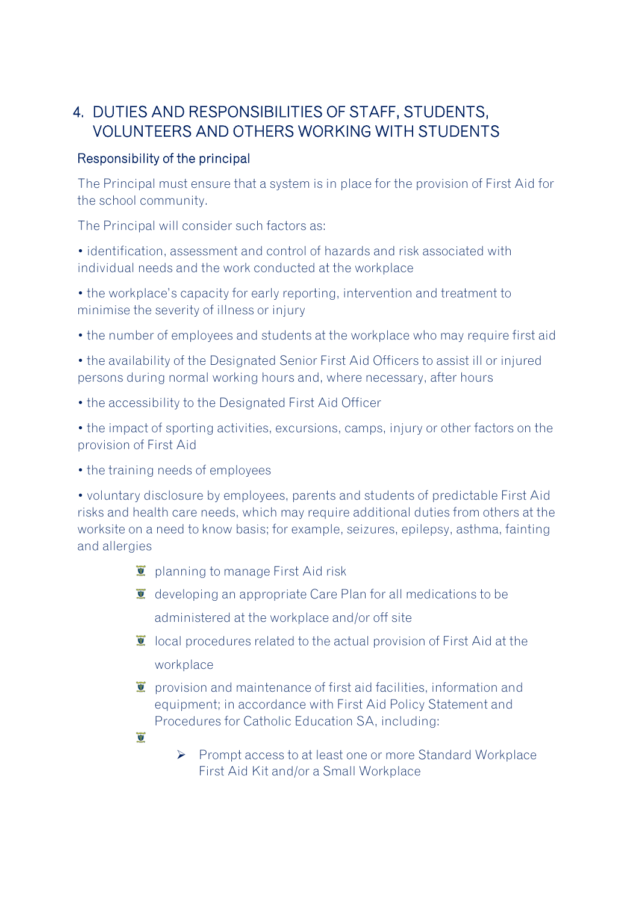## 4. DUTIES AND RESPONSIBILITIES OF STAFF, STUDENTS, VOLUNTEERS AND OTHERS WORKING WITH STUDENTS

#### Responsibility of the principal

The Principal must ensure that a system is in place for the provision of First Aid for the school community.

The Principal will consider such factors as:

• identification, assessment and control of hazards and risk associated with individual needs and the work conducted at the workplace

• the workplace's capacity for early reporting, intervention and treatment to minimise the severity of illness or injury

• the number of employees and students at the workplace who may require first aid

• the availability of the Designated Senior First Aid Officers to assist ill or injured persons during normal working hours and, where necessary, after hours

• the accessibility to the Designated First Aid Officer

• the impact of sporting activities, excursions, camps, injury or other factors on the provision of First Aid

• the training needs of employees

• voluntary disclosure by employees, parents and students of predictable First Aid risks and health care needs, which may require additional duties from others at the worksite on a need to know basis; for example, seizures, epilepsy, asthma, fainting and allergies

- **E** planning to manage First Aid risk
- $\bar{I}$  developing an appropriate Care Plan for all medications to be administered at the workplace and/or off site
- $\ddot{\bullet}$  local procedures related to the actual provision of First Aid at the workplace
- $\bar{I}$  provision and maintenance of first aid facilities, information and equipment; in accordance with First Aid Policy Statement and Procedures for Catholic Education SA, including:
- $\overline{\mathbf{v}}$
- ➢ Prompt access to at least one or more Standard Workplace First Aid Kit and/or a Small Workplace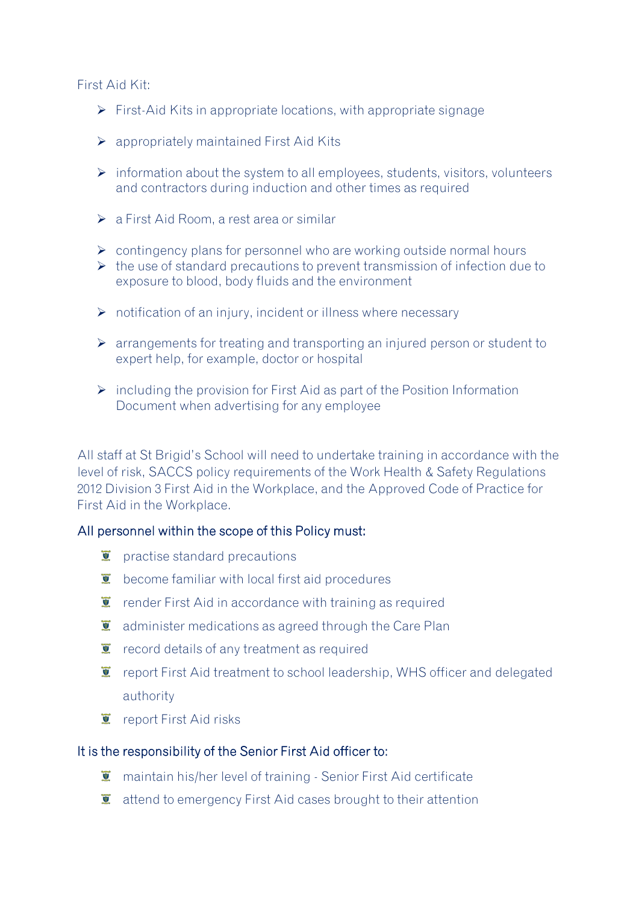First Aid Kit:

- $\triangleright$  First-Aid Kits in appropriate locations, with appropriate signage
- $\triangleright$  appropriately maintained First Aid Kits
- ➢ information about the system to all employees, students, visitors, volunteers and contractors during induction and other times as required
- $\triangleright$  a First Aid Room, a rest area or similar
- $\triangleright$  contingency plans for personnel who are working outside normal hours
- $\triangleright$  the use of standard precautions to prevent transmission of infection due to exposure to blood, body fluids and the environment
- ➢ notification of an injury, incident or illness where necessary
- ➢ arrangements for treating and transporting an injured person or student to expert help, for example, doctor or hospital
- $\triangleright$  including the provision for First Aid as part of the Position Information Document when advertising for any employee

All staff at St Brigid's School will need to undertake training in accordance with the level of risk, SACCS policy requirements of the Work Health & Safety Regulations 2012 Division 3 First Aid in the Workplace, and the Approved Code of Practice for First Aid in the Workplace.

#### All personnel within the scope of this Policy must:

- $\mathbf{\Sigma}$  practise standard precautions
- $\ddot{\mathbf{v}}$  become familiar with local first aid procedures
- $\bullet$  render First Aid in accordance with training as required
- $\overline{I}$  administer medications as agreed through the Care Plan
- $\ddot{\mathbf{r}}$  record details of any treatment as required
- $\overline{\bullet}$  report First Aid treatment to school leadership, WHS officer and delegated authority
- $\overline{\bullet}$  report First Aid risks

#### It is the responsibility of the Senior First Aid officer to:

- $\overline{\bullet}$  maintain his/her level of training Senior First Aid certificate
- $\ddot{\bullet}$  attend to emergency First Aid cases brought to their attention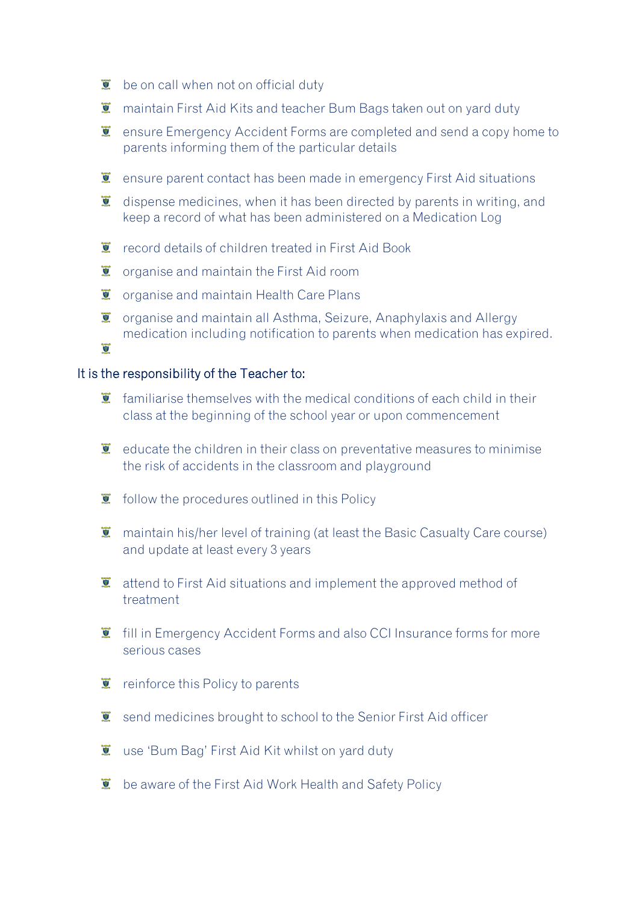- $\mathbf{\Sigma}$  be on call when not on official duty
- $\overline{\bullet}$  maintain First Aid Kits and teacher Bum Bags taken out on vard duty
- **E** ensure Emergency Accident Forms are completed and send a copy home to parents informing them of the particular details
- $\ddot{\mathbf{z}}$  ensure parent contact has been made in emergency First Aid situations
- $\ddot{\bullet}$  dispense medicines, when it has been directed by parents in writing, and keep a record of what has been administered on a Medication Log
- record details of children treated in First Aid Book
- $\overline{L}$  organise and maintain the First Aid room
- $\ddot{\mathbf{v}}$  organise and maintain Health Care Plans
- $\overline{L}$  organise and maintain all Asthma, Seizure, Anaphylaxis and Allergy medication including notification to parents when medication has expired.  $\overline{\bullet}$

#### It is the responsibility of the Teacher to:

- $\bullet$  familiarise themselves with the medical conditions of each child in their class at the beginning of the school year or upon commencement
- $\ddot{\mathbf{r}}$  educate the children in their class on preventative measures to minimise the risk of accidents in the classroom and playground
- $\bullet$  follow the procedures outlined in this Policy
- **T** maintain his/her level of training (at least the Basic Casualty Care course) and update at least every 3 years
- $\ddot{\mathbf{r}}$  attend to First Aid situations and implement the approved method of treatment
- $\ddot{\mathbf{I}}$  fill in Emergency Accident Forms and also CCI Insurance forms for more serious cases
- $\ddot{\mathbf{r}}$  reinforce this Policy to parents
- $\ddot{\bullet}$  send medicines brought to school to the Senior First Aid officer
- **U** use 'Bum Bag' First Aid Kit whilst on yard duty
- $\overline{\bullet}$  be aware of the First Aid Work Health and Safety Policy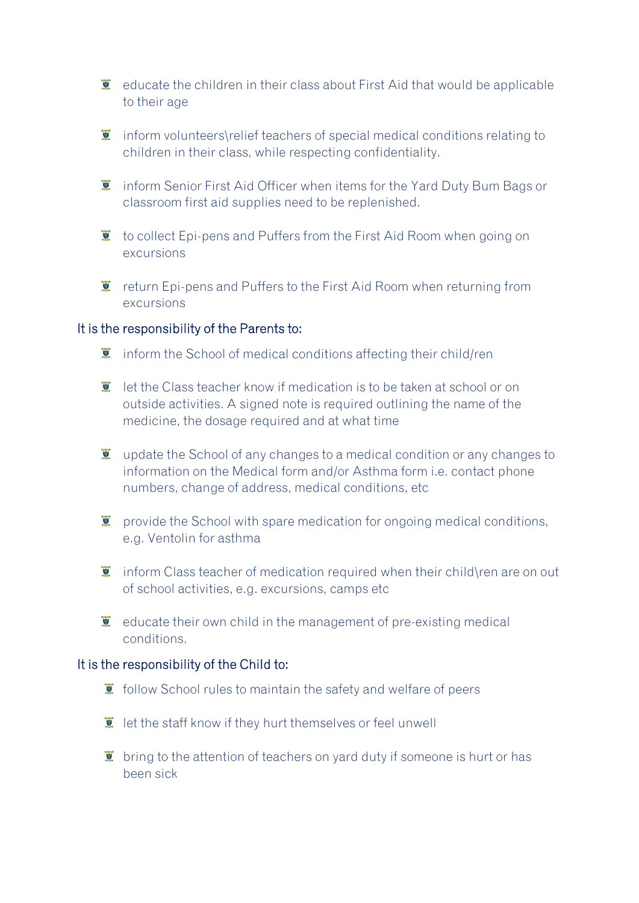- $\ddot{\bullet}$  educate the children in their class about First Aid that would be applicable to their age
- $\ddot{\bullet}$  inform volunteers\relief teachers of special medical conditions relating to children in their class, while respecting confidentiality.
- **I** inform Senior First Aid Officer when items for the Yard Duty Bum Bags or classroom first aid supplies need to be replenished.
- $\bullet$  to collect Epi-pens and Puffers from the First Aid Room when going on excursions
- $\ddot{\mathbf{r}}$  return Epi-pens and Puffers to the First Aid Room when returning from excursions

#### It is the responsibility of the Parents to:

- $\ddot{\mathbf{I}}$  inform the School of medical conditions affecting their child/ren
- $\bullet$  let the Class teacher know if medication is to be taken at school or on outside activities. A signed note is required outlining the name of the medicine, the dosage required and at what time
- $\ddot{\mathbf{v}}$  update the School of any changes to a medical condition or any changes to information on the Medical form and/or Asthma form i.e. contact phone numbers, change of address, medical conditions, etc
- $\ddot{\mathbf{r}}$  provide the School with spare medication for ongoing medical conditions, e.g. Ventolin for asthma
- $\ddot{\mathbf{x}}$  inform Class teacher of medication required when their child\ren are on out of school activities, e.g. excursions, camps etc
- $\bullet$  educate their own child in the management of pre-existing medical conditions.

#### It is the responsibility of the Child to:

- $\bullet$  follow School rules to maintain the safety and welfare of peers
- $\ddot{\mathbf{U}}$  let the staff know if they hurt themselves or feel unwell
- $\ddot{\bullet}$  bring to the attention of teachers on yard duty if someone is hurt or has been sick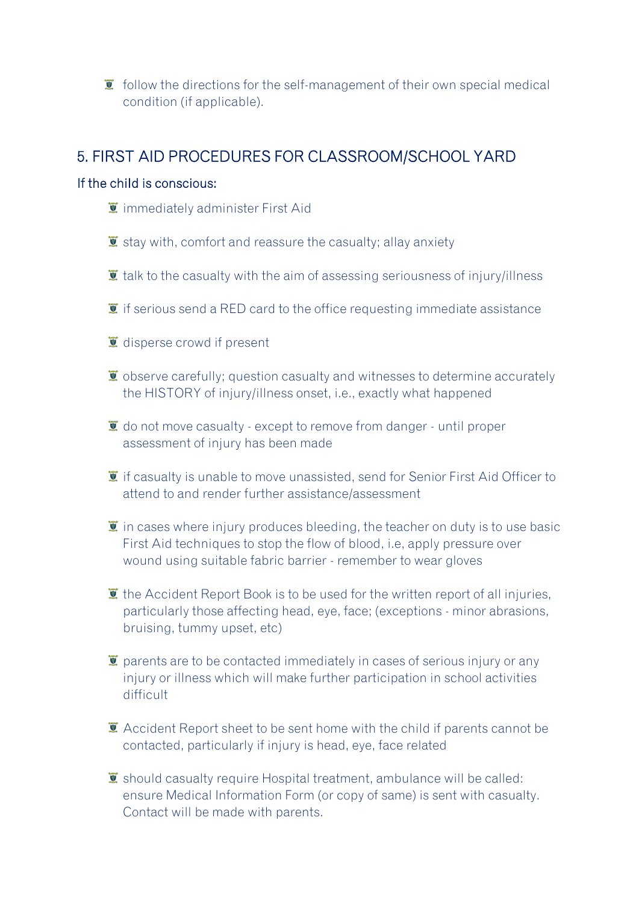$\bullet$  follow the directions for the self-management of their own special medical condition (if applicable).

### 5. FIRST AID PROCEDURES FOR CLASSROOM/SCHOOL YARD

#### If the child is conscious:

- $\overline{\bullet}$  immediately administer First Aid
- $\bar{I}$  stay with, comfort and reassure the casualty; allay anxiety
- $\ddot{)}$  talk to the casualty with the aim of assessing seriousness of injury/illness
- $\bullet$  if serious send a RED card to the office requesting immediate assistance
- $\bullet$  disperse crowd if present
- $\bullet$  observe carefully; question casualty and witnesses to determine accurately the HISTORY of injury/illness onset, i.e., exactly what happened
- $\bullet$  do not move casualty except to remove from danger until proper assessment of injury has been made
- $\mathbf{\Sigma}$  if casualty is unable to move unassisted, send for Senior First Aid Officer to attend to and render further assistance/assessment
- $\bullet$  in cases where injury produces bleeding, the teacher on duty is to use basic First Aid techniques to stop the flow of blood, i.e, apply pressure over wound using suitable fabric barrier - remember to wear gloves
- $\bullet$  the Accident Report Book is to be used for the written report of all injuries, particularly those affecting head, eye, face; (exceptions - minor abrasions, bruising, tummy upset, etc)
- $\bar{I}$  parents are to be contacted immediately in cases of serious injury or any injury or illness which will make further participation in school activities difficult
- **E** Accident Report sheet to be sent home with the child if parents cannot be contacted, particularly if injury is head, eye, face related
- $\ddot{\bullet}$  should casualty require Hospital treatment, ambulance will be called: ensure Medical Information Form (or copy of same) is sent with casualty. Contact will be made with parents.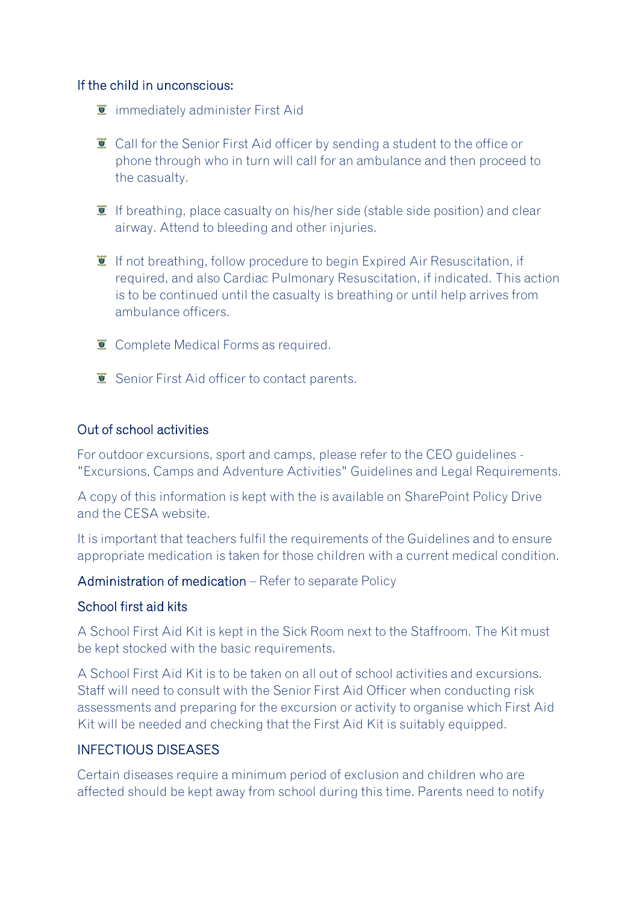#### If the child in unconscious:

- $\overline{\bullet}$  immediately administer First Aid
- **C** Call for the Senior First Aid officer by sending a student to the office or phone through who in turn will call for an ambulance and then proceed to the casualty.
- **If** If breathing, place casualty on his/her side (stable side position) and clear airway. Attend to bleeding and other injuries.
- $\ddot{\mathbf{I}}$  If not breathing, follow procedure to begin Expired Air Resuscitation, if required, and also Cardiac Pulmonary Resuscitation, if indicated. This action is to be continued until the casualty is breathing or until help arrives from ambulance officers.
- **Complete Medical Forms as required.**
- $\overline{\bullet}$  Senior First Aid officer to contact parents.

#### Out of school activities

For outdoor excursions, sport and camps, please refer to the CEO guidelines - "Excursions, Camps and Adventure Activities" Guidelines and Legal Requirements.

A copy of this information is kept with the is available on SharePoint Policy Drive and the CESA website.

It is important that teachers fulfil the requirements of the Guidelines and to ensure appropriate medication is taken for those children with a current medical condition.

#### Administration of medication – Refer to separate Policy

#### School first aid kits

A School First Aid Kit is kept in the Sick Room next to the Staffroom. The Kit must be kept stocked with the basic requirements.

A School First Aid Kit is to be taken on all out of school activities and excursions. Staff will need to consult with the Senior First Aid Officer when conducting risk assessments and preparing for the excursion or activity to organise which First Aid Kit will be needed and checking that the First Aid Kit is suitably equipped.

#### INFECTIOUS DISEASES

Certain diseases require a minimum period of exclusion and children who are affected should be kept away from school during this time. Parents need to notify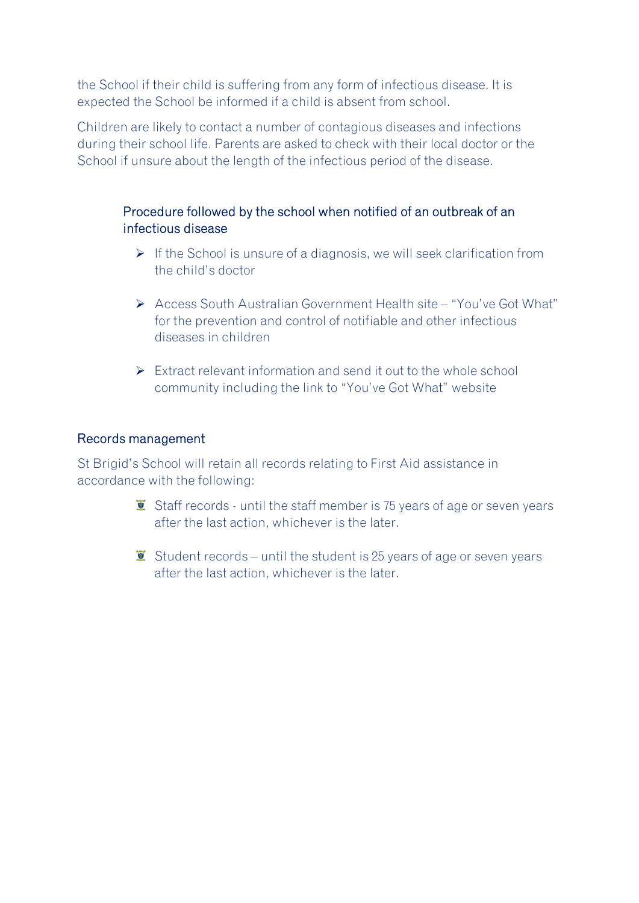the School if their child is suffering from any form of infectious disease. It is expected the School be informed if a child is absent from school.

Children are likely to contact a number of contagious diseases and infections during their school life. Parents are asked to check with their local doctor or the School if unsure about the length of the infectious period of the disease.

#### Procedure followed by the school when notified of an outbreak of an infectious disease

- ➢ If the School is unsure of a diagnosis, we will seek clarification from the child's doctor
- ➢ Access South Australian Government Health site "You've Got What" for the prevention and control of notifiable and other infectious diseases in children
- $\triangleright$  Extract relevant information and send it out to the whole school community including the link to "You've Got What" website

#### Records management

St Brigid's School will retain all records relating to First Aid assistance in accordance with the following:

- $\overline{\bullet}$  Staff records until the staff member is 75 years of age or seven years after the last action, whichever is the later.
- $\overline{\bullet}$  Student records until the student is 25 years of age or seven years after the last action, whichever is the later.